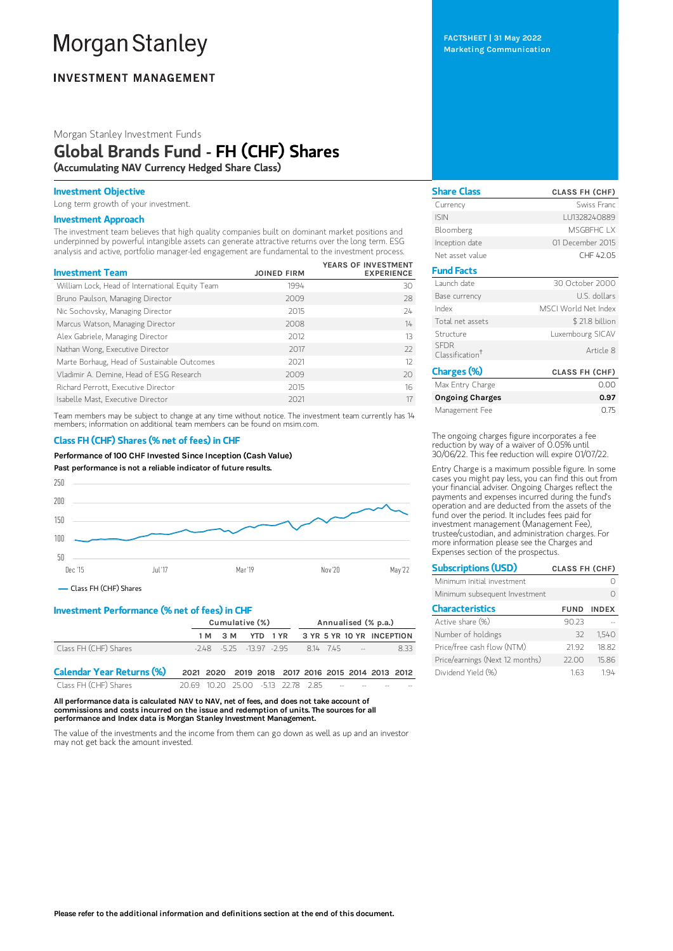# **Morgan Stanley**

# **INVESTMENT MANAGEMENT**

# Morgan Stanley Investment Funds Global Brands Fund - FH (CHF) Shares (Accumulating NAV Currency Hedged Share Class)

## Investment Objective

Long term growth of your investment.

## Investment Approach

The investment team believes that high quality companies built on dominant market positions and underpinned by powerful intangible assets can generate attractive returns over the long term. ESG analysis and active, portfolio manager-led engagement are fundamental to the investment process.

| <b>Investment Team</b>                          | <b>JOINED FIRM</b> | YEARS OF INVESTMENT<br><b>EXPERIENCE</b> |
|-------------------------------------------------|--------------------|------------------------------------------|
| William Lock, Head of International Equity Team | 1994               | 30                                       |
| Bruno Paulson, Managing Director                | 2009               | 28                                       |
| Nic Sochovsky, Managing Director                | 2015               | 24                                       |
| Marcus Watson, Managing Director                | 2008               | 14                                       |
| Alex Gabriele, Managing Director                | 2012               | 13                                       |
| Nathan Wong, Executive Director                 | 2017               | $22$                                     |
| Marte Borhaug, Head of Sustainable Outcomes     | 2021               | 12                                       |
| Vladimir A. Demine, Head of ESG Research        | 2009               | 20                                       |
| Richard Perrott, Executive Director             | 2015               | 16                                       |
| Isabelle Mast, Executive Director               | 2021               | 17                                       |

Team members may be subject to change at any time without notice. The investment team currently has 14 members; information on additional team members can be found on msim.com.

# Class FH (CHF) Shares (% net of fees) in CHF

Performance of 100 CHF Invested Since Inception (Cash Value)

Past performance is not a reliable indicator of future results.



Class FH (CHF) Shares

# Investment Performance (% net of fees) in CHF

|                                  | Cumulative (%)                                    |     |          | Annualised (% p.a.)             |  |              |  |                           |     |
|----------------------------------|---------------------------------------------------|-----|----------|---------------------------------|--|--------------|--|---------------------------|-----|
|                                  | 1 M                                               | 3 M | YTD 1 YR |                                 |  |              |  | 3 YR 5 YR 10 YR INCEPTION |     |
| Class FH (CHF) Shares            |                                                   |     |          | $-248$ $-5.25$ $-13.97$ $-2.95$ |  | 8.14 7.45 -- |  |                           | 833 |
| <b>Calendar Year Returns (%)</b> | 2021 2020 2019 2018 2017 2016 2015 2014 2013 2012 |     |          |                                 |  |              |  |                           |     |
| Class FH (CHF) Shares            | 20.69 10.20 25.00 -5.13 22.78 2.85 -- -- --       |     |          |                                 |  |              |  |                           |     |

All performance data is calculated NAV to NAV, net of fees, and does not take account of commissions and costs incurred on the issue and redemption of units. The sources for all performance and Index data is Morgan Stanley Investment Management.

The value of the investments and the income from them can go down as well as up and an investor may not get back the amount invested.

FACTSHEET | 31 May 2022 Marketing Communication

Share Class CLASS FH (CHF) Currency Swiss Franc ISIN LU1328240889 Bloomberg MSGBFHC LX Inception date 01 December 2015 Net asset value CHF 42.05 Fund Facts Launch date 30 October 2000 Base currency U.S. dollars Index MSCI World Net Index Total net assets \$ 21.8 billion Structure Luxembourg SICAV SFDR Classification †Article 8 Charges (%) CLASS FH (CHF) Max Entry Charge 0.00

| Ongoing Charges | 0.97 |
|-----------------|------|
| Management Fee  | 0.75 |

The ongoing charges figure incorporates a fee reduction by way of a waiver of 0.05% until 30/06/22. This fee reduction will expire 01/07/22.

Entry Charge is a maximum possible figure. In some cases you might pay less, you can find this out from your financial adviser. Ongoing Charges reflect the payments and expenses incurred during the fund's operation and are deducted from the assets of the fund over the period. It includes fees paid for investment management (Management Fee), trustee/custodian, and administration charges. For more information please see the Charges and Expenses section of the prospectus.

| <b>Subscriptions (USD)</b>      | <b>CLASS FH (CHF)</b> |              |
|---------------------------------|-----------------------|--------------|
| Minimum initial investment      |                       |              |
| Minimum subsequent Investment   |                       |              |
| <b>Characteristics</b>          | <b>FUND</b>           | <b>INDEX</b> |
| Active share (%)                | 90.23                 |              |
| Number of holdings              | 32                    | 1,540        |
| Price/free cash flow (NTM)      | 2192                  | 18.82        |
| Price/earnings (Next 12 months) | 22.00                 | 15.86        |
| Dividend Yield (%)              | 163                   | 194          |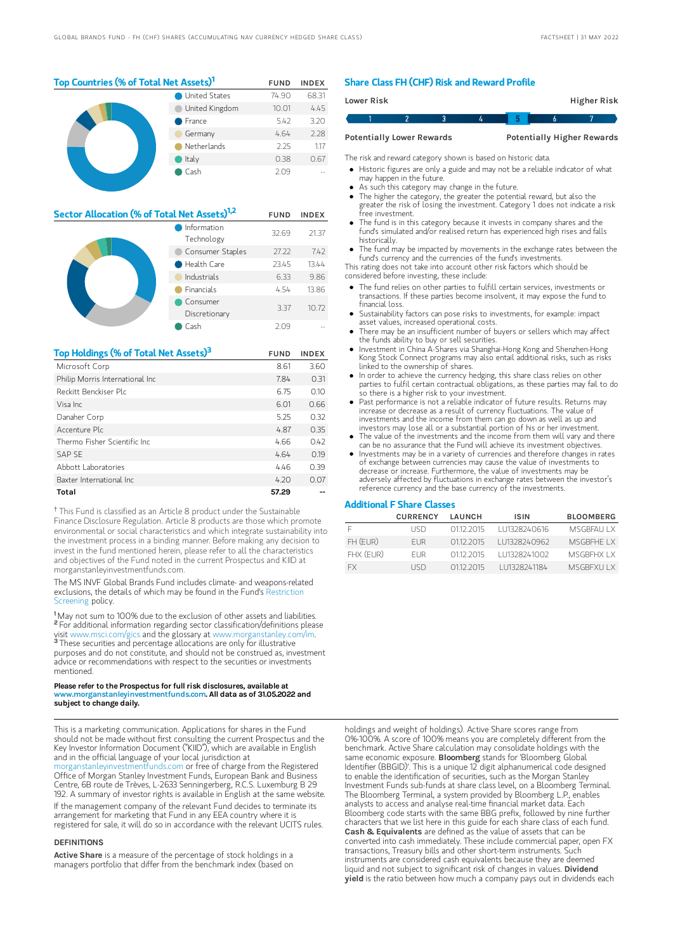| Top Countries (% of Total Net Assets) <sup>1</sup> | <b>FUND</b>          | <b>INDEX</b> |       |
|----------------------------------------------------|----------------------|--------------|-------|
|                                                    | <b>United States</b> | 74.90        | 68.31 |
|                                                    | United Kingdom       | 10.01        | 4.45  |
|                                                    | France               | 5.42         | 3.20  |
|                                                    | Germany              | 4.64         | 2.28  |
|                                                    | Netherlands          | 225          | 117   |
|                                                    | Italy                | 0.38         | 0.67  |
|                                                    | Cash                 | 2.09         |       |

| Sector Allocation (% of Total Net Assets) <sup>1,2</sup> | <b>FUND</b>               | <b>INDEX</b> |       |
|----------------------------------------------------------|---------------------------|--------------|-------|
|                                                          | Information<br>Technology | 32.69        | 21.37 |
|                                                          | Consumer Staples          | 27.22        | 7.42  |
| Health Care<br>Industrials                               |                           | 23.45        | 13.44 |
|                                                          |                           | 6.33         | 9.86  |
|                                                          | <b>Financials</b>         | 4.54         | 13.86 |
|                                                          | Consumer<br>Discretionary | 3.37         | 10.72 |
|                                                          | 2.09                      |              |       |

| Top Holdings (% of Total Net Assets) <sup>3</sup> | <b>FUND</b> | <b>INDEX</b> |
|---------------------------------------------------|-------------|--------------|
| Microsoft Corp                                    | 8.61        | 3.60         |
| Philip Morris International Inc                   | 7.84        | 0.31         |
| Reckitt Benckiser Plc                             | 6.75        | 0.10         |
| Visa Inc.                                         | 6.01        | 0.66         |
| Danaher Corp                                      | 5.25        | 0.32         |
| Accenture Plc                                     | 4.87        | 0.35         |
| Thermo Fisher Scientific Inc.                     | 4.66        | 0.42         |
| SAP SF                                            | 4.64        | 0.19         |
| Abbott Laboratories                               | 4.46        | 0.39         |
| Baxter International Inc.                         | 4.20        | 0.07         |
| Total                                             | 57.29       |              |

<sup>†</sup> This Fund is classified as an Article 8 product under the Sustainable Finance Disclosure Regulation. Article 8 products are those which promote environmental or social characteristics and which integrate sustainability into the investment process in a binding manner. Before making any decision to invest in the fund mentioned herein, please refer to all the characteristics and objectives of the Fund noted in the current Prospectus and KIID at morganstanleyinvestmentfunds.com.

The MS INVF Global Brands Fund includes climate- and weapons-related [exclusions,](https://www.morganstanley.com/im/publication/msinvf/material/rsp_msinvf_gb_gbei_gq_en.pdf?1654720968714) the details of which may be found in the Fund's Restriction Screening policy.

<sup>1</sup>May not sum to 100% due to the exclusion of other assets and liabilities. <sup>2</sup> For additional information regarding sector classification/definitions please visit www.msci.com/gics and the glossary at www.morganstanley.com/im. These securities and percentage allocations are only for illustrative purposes and do not constitute, and should not be construed as, investment advice or recommendations with respect to the securities or investments mentioned. 3

#### Please refer to the Prospectus for full risk disclosures, available at w.morganstanleyinvestmentfunds.com. All data as of 31.05.2022 and subject to change daily.

This is a marketing communication. Applications for shares in the Fund should not be made without first consulting the current Prospectus and the Key Investor Information Document ("KIID"), which are available in English and in the official language of your local jurisdiction at

morganstands.com or free of charge from the Registered Office of Morgan Stanley Investment Funds, European Bank and Business Centre, 6B route de Trèves, L-2633 Senningerberg, R.C.S. Luxemburg B 29 192. A summary of investor rights is available in English at the same website. If the management company of the relevant Fund decides to terminate its arrangement for marketing that Fund in any EEA country where it is registered for sale, it will do so in accordance with the relevant UCITS rules.

#### DEFINITIONS

Active Share is a measure of the percentage of stock holdings in a managers portfolio that differ from the benchmark index (based on

# Share Class FH (CHF) Risk and Reward Profile

|                                  | Lower Risk |  |  |  |                                   | Higher Risk |  |
|----------------------------------|------------|--|--|--|-----------------------------------|-------------|--|
|                                  |            |  |  |  |                                   |             |  |
| <b>Potentially Lower Rewards</b> |            |  |  |  | <b>Potentially Higher Rewards</b> |             |  |

The risk and reward category shown is based on historic data.

Historic figures are only a guide and may not be a reliable indicator of what may happen in the future.

- As such this category may change in the future.
- The higher the category, the greater the potential reward, but also the greater the risk of losing the investment. Category 1 does not indicate a risk free investment.
- The fund is in this category because it invests in company shares and the fund's simulated and/or realised return has experienced high rises and falls historically.
- The fund may be impacted by movements in the exchange rates between the fund's currency and the currencies of the fund's investments.

This rating does not take into account other risk factors which should be considered before investing, these include:

- The fund relies on other parties to fulfill certain services, investments or transactions. If these parties become insolvent, it may expose the fund to financial loss.
- Sustainability factors can pose risks to investments, for example: impact asset values, increased operational costs.
- There may be an insufficient number of buyers or sellers which may affect the funds ability to buy or sell securities.
- Investment in China A-Shares via Shanghai-Hong Kong and Shenzhen-Hong Kong Stock Connect programs may also entail additional risks, such as risks linked to the ownership of shares.
- In order to achieve the currency hedging, this share class relies on other parties to fulfil certain contractual obligations, as these parties may fail to do so there is a higher risk to your investment.
- Past performance is not a reliable indicator of future results. Returns may increase or decrease as a result of currency fluctuations. The value of investments and the income from them can go down as well as up and investors may lose all or a substantial portion of his or her investment.
- The value of the investments and the income from them will vary and there
- can be no assurance that the Fund will achieve its investment objectives. Investments may be in a variety of currencies and therefore changes in rates of exchange between currencies may cause the value of investments to decrease or increase. Furthermore, the value of investments may be adversely affected by fluctuations in exchange rates between the investor's reference currency and the base currency of the investments.

# Additional F Share Classes

|           | <b>CURRENCY</b> | LAUNCH    | <b>ISIN</b>  | <b>BLOOMBERG</b> |
|-----------|-----------------|-----------|--------------|------------------|
|           | LISD            | 0112 2015 | 111328240616 | <b>MSGBFAULX</b> |
| FH (EUR)  | <b>FUR</b>      | 01122015  | 111328240962 | MSGBFHF IX       |
| FHX (EUR) | <b>FUR</b>      | 01122015  | 111328241002 | MSGBFHX IX       |
| FX        | LISD            | 0112 2015 | 1328241184   | <b>MSGBEXULX</b> |

holdings and weight of holdings). Active Share scores range from 0%-100%. A score of 100% means you are completely different from the benchmark. Active Share calculation may consolidate holdings with the same economic exposure. Bloomberg stands for 'Bloomberg Global Identifier (BBGID)'. This is a unique 12 digit alphanumerical code designed to enable the identification of securities, such as the Morgan Stanley Investment Funds sub-funds at share class level, on a Bloomberg Terminal. The Bloomberg Terminal, a system provided by Bloomberg L.P., enables analysts to access and analyse real-time financial market data. Each Bloomberg code starts with the same BBG prefix, followed by nine further characters that we list here in this guide for each share class of each fund. Cash & Equivalents are defined as the value of assets that can be converted into cash immediately. These include commercial paper, open FX transactions, Treasury bills and other short-term instruments. Such instruments are considered cash equivalents because they are deemed<br>liquid and not subject to significant risk of changes in values. **Dividend vield** is the ratio between how much a company pays out in dividends each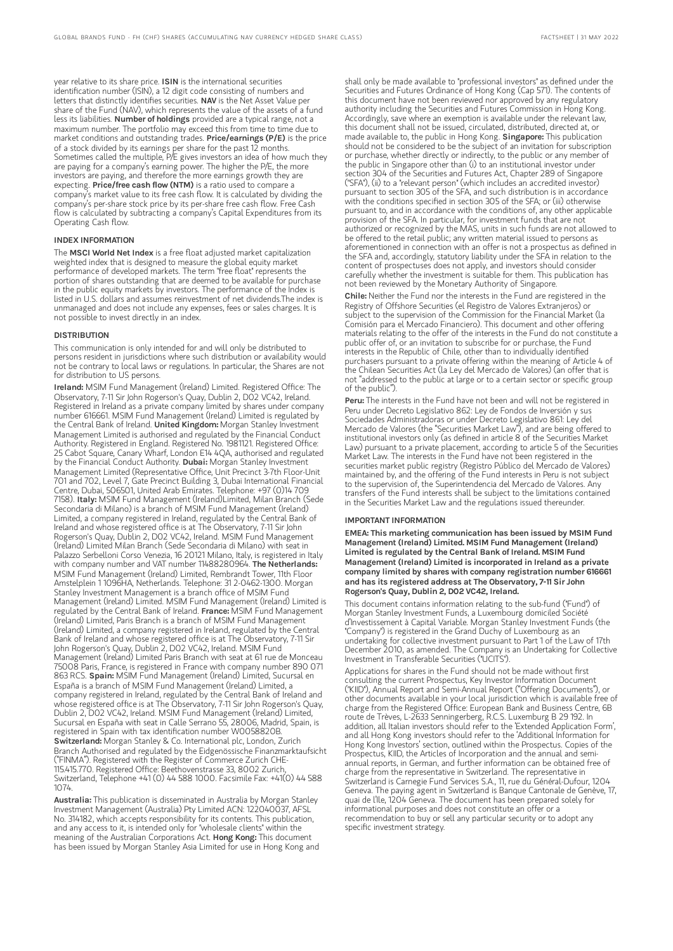year relative to its share price. ISIN is the international securities identification number (ISIN), a 12 digit code consisting of numbers and letters that distinctly identifies securities. NAV is the Net Asset Value per share of the Fund (NAV), which represents the value of the assets of a fund less its liabilities. Number of holdings provided are a typical range, not a maximum number. The portfolio may exceed this from time to time due to market conditions and outstanding trades. Price/earnings (P/E) is the price of a stock divided by its earnings per share for the past 12 months. Sometimes called the multiple, P/E gives investors an idea of how much they are paying for a company's earning power. The higher the P/E, the more investors are paying, and therefore the more earnings growth they are expecting. Price/free cash flow (NTM) is a ratio used to compare a company's market value to its free cash flow. It is calculated by dividing the company's per-share stock price by its per-share free cash flow. Free Cash flow is calculated by subtracting a company's Capital Expenditures from its Operating Cash flow.

## INDEX INFORMATION

The MSCI World Net Index is a free float adjusted market capitalization weighted index that is designed to measure the global equity market performance of developed markets. The term "free float" represents the portion of shares outstanding that are deemed to be available for purchase in the public equity markets by investors. The performance of the Index is listed in U.S. dollars and assumes reinvestment of net dividends.The index is unmanaged and does not include any expenses, fees or sales charges. It is not possible to invest directly in an index.

#### DISTRIBUTION

This communication is only intended for and will only be distributed to persons resident in jurisdictions where such distribution or availability would not be contrary to local laws or regulations. In particular, the Shares are not for distribution to US persons.

Ireland: MSIM Fund Management (Ireland) Limited. Registered Office: The Observatory, 7-11 Sir John Rogerson's Quay, Dublin 2, D02 VC42, Ireland. Registered in Ireland as a private company limited by shares under company number 616661. MSIM Fund Management (Ireland) Limited is regulated by the Central Bank of Ireland. United Kingdom: Morgan Stanley Investment Management Limited is authorised and regulated by the Financial Conduct Authority. Registered in England. Registered No. 1981121. Registered Office: 25 Cabot Square, Canary Wharf, London E14 4QA, authorised and regulated by the Financial Conduct Authority. Dubai: Morgan Stanley Investment Management Limited (Representative Office, Unit Precinct 3-7th Floor-Unit 701 and 702, Level 7, Gate Precinct Building 3, Dubai International Financial Centre, Dubai, 506501, United Arab Emirates. Telephone: +97 (0)14 709 7158). Italy: MSIM Fund Management (Ireland)Limited, Milan Branch (Sede Secondaria di Milano) is a branch of MSIM Fund Management (Ireland) Limited, a company registered in Ireland, regulated by the Central Bank of Ireland and whose registered office is at The Observatory, 7-11 Sir John Rogerson's Quay, Dublin 2, D02 VC42, Ireland. MSIM Fund Management (Ireland) Limited Milan Branch (Sede Secondaria di Milano) with seat in Palazzo Serbelloni Corso Venezia, 16 20121 Milano, Italy, is registered in Italy with company number and VAT number 11488280964. The Netherlands: MSIM Fund Management (Ireland) Limited, Rembrandt Tower, 11th Floor Amstelplein 1 1096HA, Netherlands. Telephone: 31 2-0462-1300. Morgan Stanley Investment Management is a branch office of MSIM Fund Management (Ireland) Limited. MSIM Fund Management (Ireland) Limited is regulated by the Central Bank of Ireland. France: MSIM Fund Management (Ireland) Limited, Paris Branch is a branch of MSIM Fund Management (Ireland) Limited, a company registered in Ireland, regulated by the Central Bank of Ireland and whose registered office is at The Observatory, 7-11 Sir John Rogerson's Quay, Dublin 2, D02 VC42, Ireland. MSIM Fund Management (Ireland) Limited Paris Branch with seat at 61 rue de Monceau 75008 Paris, France, is registered in France with company number 890 071<br>863 RCS. **Spain:** MSIM Fund Management (Ireland) Limited, Sucursal en España is a branch of MSIM Fund Management (Ireland) Limited, a company registered in Ireland, regulated by the Central Bank of Ireland and whose registered office is at The Observatory, 7-11 Sir John Rogerson's Quay, Dublin 2, D02 VC42, Ireland. MSIM Fund Management (Ireland) Limited, Sucursal en España with seat in Calle Serrano 55, 28006, Madrid, Spain, is registered in Spain with tax identification number W0058820B. Switzerland: Morgan Stanley & Co. International plc, London, Zurich Branch Authorised and regulated by the Eidgenössische Finanzmarktaufsicht ("FINMA"). Registered with the Register of Commerce Zurich CHE-115.415.770. Registered Office: Beethovenstrasse 33, 8002 Zurich, Switzerland, Telephone +41 (0) 44 588 1000. Facsimile Fax: +41(0) 44 588 1074.

Australia: This publication is disseminated in Australia by Morgan Stanley Investment Management (Australia) Pty Limited ACN: 122040037, AFSL No. 314182, which accepts responsibility for its contents. This publication, and any access to it, is intended only for "wholesale clients" within the meaning of the Australian Corporations Act. **Hong Kong:** This document has been issued by Morgan Stanley Asia Limited for use in Hong Kong and

shall only be made available to "professional investors" as defined under the Securities and Futures Ordinance of Hong Kong (Cap 571). The contents of this document have not been reviewed nor approved by any regulatory authority including the Securities and Futures Commission in Hong Kong. Accordingly, save where an exemption is available under the relevant law, this document shall not be issued, circulated, distributed, directed at, or made available to, the public in Hong Kong. Singapore: This publication should not be considered to be the subject of an invitation for subscription or purchase, whether directly or indirectly, to the public or any member of the public in Singapore other than (i) to an institutional investor under section 304 of the Securities and Futures Act, Chapter 289 of Singapore ("SFA"), (ii) to a "relevant person" (which includes an accredited investor) pursuant to section 305 of the SFA, and such distribution is in accordance with the conditions specified in section 305 of the SFA; or (iii) otherwise pursuant to, and in accordance with the conditions of, any other applicable provision of the SFA. In particular, for investment funds that are not authorized or recognized by the MAS, units in such funds are not allowed to be offered to the retail public; any written material issued to persons as aforementioned in connection with an offer is not a prospectus as defined in the SFA and, accordingly, statutory liability under the SFA in relation to the content of prospectuses does not apply, and investors should consider carefully whether the investment is suitable for them. This publication has not been reviewed by the Monetary Authority of Singapore.

Chile: Neither the Fund nor the interests in the Fund are registered in the Registry of Offshore Securities (el Registro de Valores Extranjeros) or subject to the supervision of the Commission for the Financial Market (la Comisión para el Mercado Financiero). This document and other offering materials relating to the offer of the interests in the Fund do not constitute a public offer of, or an invitation to subscribe for or purchase, the Fund interests in the Republic of Chile, other than to individually identified purchasers pursuant to a private offering within the meaning of Article 4 of the Chilean Securities Act (la Ley del Mercado de Valores) (an offer that is not "addressed to the public at large or to a certain sector or specific group of the public").

Peru: The interests in the Fund have not been and will not be registered in Peru under Decreto Legislativo 862: Ley de Fondos de Inversión y sus Sociedades Administradoras or under Decreto Legislativo 861: Ley del Mercado de Valores (the "Securities Market Law"), and are being offered to institutional investors only (as defined in article 8 of the Securities Market Law) pursuant to a private placement, according to article 5 of the Securities Market Law. The interests in the Fund have not been registered in the securities market public registry (Registro Público del Mercado de Valores) maintained by, and the offering of the Fund interests in Peru is not subject to the supervision of, the Superintendencia del Mercado de Valores. Any transfers of the Fund interests shall be subject to the limitations contained in the Securities Market Law and the regulations issued thereunder.

#### IMPORTANT INFORMATION

EMEA: This marketing communication has been issued by MSIM Fund Management (Ireland) Limited. MSIM Fund Management (Ireland) Limited is regulated by the Central Bank of Ireland. MSIM Fund Management (Ireland) Limited is incorporated in Ireland as a private company limited by shares with company registration number 616661 and has its registered address at The Observatory, 7-11 Sir John Rogerson's Quay, Dublin 2, D02 VC42, Ireland.

This document contains information relating to the sub-fund ("Fund") of Morgan Stanley Investment Funds, a Luxembourg domiciled Société d'Investissement à Capital Variable. Morgan Stanley Investment Funds (the "Company") is registered in the Grand Duchy of Luxembourg as an undertaking for collective investment pursuant to Part 1 of the Law of 17th December 2010, as amended. The Company is an Undertaking for Collective Investment in Transferable Securities ("UCITS").

Applications for shares in the Fund should not be made without first consulting the current Prospectus, Key Investor Information Document ("KIID"), Annual Report and Semi-Annual Report ("Offering Documents"), or other documents available in your local jurisdiction which is available free of charge from the Registered Office: European Bank and Business Centre, 6B route de Trèves, L-2633 Senningerberg, R.C.S. Luxemburg B 29 192. In addition, all Italian investors should refer to the 'Extended Application Form', and all Hong Kong investors should refer to the 'Additional Information for Hong Kong Investors' section, outlined within the Prospectus. Copies of the Prospectus, KIID, the Articles of Incorporation and the annual and semiannual reports, in German, and further information can be obtained free of charge from the representative in Switzerland. The representative in Switzerland is Carnegie Fund Services S.A., 11, rue du Général-Dufour, 1204 Geneva. The paying agent in Switzerland is Banque Cantonale de Genève, 17, quai de l'Ile, 1204 Geneva. The document has been prepared solely for informational purposes and does not constitute an offer or a recommendation to buy or sell any particular security or to adopt any specific investment strategy.